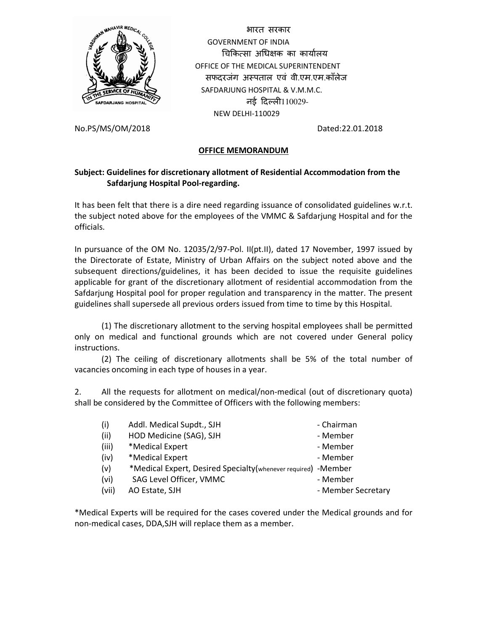

 भारत सरकार GOVERNMENT OF INDIA चिकित्सा अधिक्षक का कार्यालय OFFICE OF THE MEDICAL SUPERINTENDENT सफदरजंग अपताल एवं वी.एम.एम.काँलेज SAFDARJUNG HOSPITAL & V.M.M.C. नई दिल्ली110029-NEW DELHI-110029

No.PS/MS/OM/2018 Dated:22.01.2018

## **OFFICE MEMORANDUM**

## **Subject: Guidelines for discretionary allotment of Residential Accommodation from the Safdarjung Hospital Pool-regarding.**

It has been felt that there is a dire need regarding issuance of consolidated guidelines w.r.t. the subject noted above for the employees of the VMMC & Safdarjung Hospital and for the officials.

In pursuance of the OM No. 12035/2/97-Pol. II(pt.II), dated 17 November, 1997 issued by the Directorate of Estate, Ministry of Urban Affairs on the subject noted above and the subsequent directions/guidelines, it has been decided to issue the requisite guidelines applicable for grant of the discretionary allotment of residential accommodation from the Safdarjung Hospital pool for proper regulation and transparency in the matter. The present guidelines shall supersede all previous orders issued from time to time by this Hospital.

 (1) The discretionary allotment to the serving hospital employees shall be permitted only on medical and functional grounds which are not covered under General policy instructions.

 (2) The ceiling of discretionary allotments shall be 5% of the total number of vacancies oncoming in each type of houses in a year.

2. All the requests for allotment on medical/non-medical (out of discretionary quota) shall be considered by the Committee of Officers with the following members:

| (i)   | Addl. Medical Supdt., SJH                                     | - Chairman         |
|-------|---------------------------------------------------------------|--------------------|
| (ii)  | HOD Medicine (SAG), SJH                                       | - Member           |
| (iii) | *Medical Expert                                               | - Member           |
| (iv)  | *Medical Expert                                               | - Member           |
| (v)   | *Medical Expert, Desired Specialty(whenever required) -Member |                    |
| (vi)  | SAG Level Officer, VMMC                                       | - Member           |
| (vii) | AO Estate, SJH                                                | - Member Secretary |

\*Medical Experts will be required for the cases covered under the Medical grounds and for non-medical cases, DDA,SJH will replace them as a member.